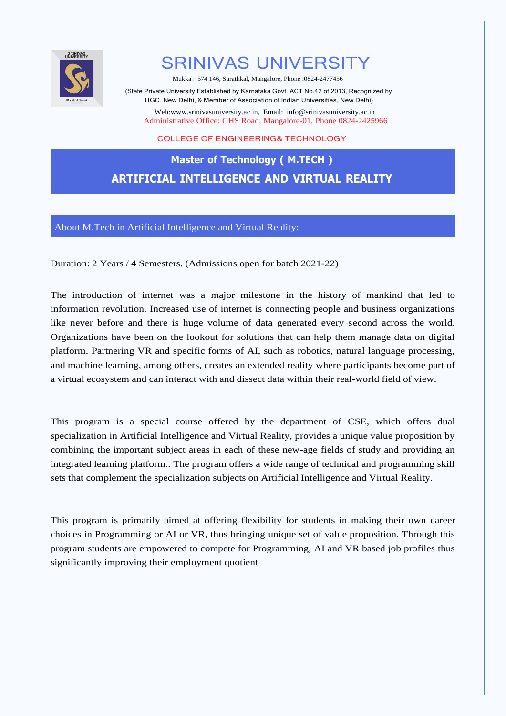

# SRINIVAS UNIVERSITY

Mukka– 574 146, Surathkal, Mangalore, Phone :0824-2477456

(State Private University Established by Karnataka Govt. ACT No.42 of 2013, Recognized by UGC, New Delhi, & Member of Association of Indian Universities, New Delhi)

Web[:www.srinivasuniversity.ac.in,](http://www.srinivasuniversity.ac.in/) Email: [info@srinivasuniversity.ac.in](mailto:info@srinivasuniversity.ac.in) Administrative Office: GHS Road, Mangalore-01, Phone 0824-2425966

#### COLLEGE OF ENGINEERING& TECHNOLOGY

## **Master of Technology ( M.TECH ) ARTIFICIAL INTELLIGENCE AND VIRTUAL REALITY**

About M.Tech in Artificial Intelligence and Virtual Reality:

Duration: 2 Years / 4 Semesters. (Admissions open for batch 2021-22)

The introduction of internet was a major milestone in the history of mankind that led to information revolution. Increased use of internet is connecting people and business organizations like never before and there is huge volume of data generated every second across the world. Organizations have been on the lookout for solutions that can help them manage data on digital platform. Partnering VR and specific forms of AI, such as robotics, natural language processing, and machine learning, among others, creates an extended reality where participants become part of a virtual ecosystem and can interact with and dissect data within their real-world field of view.

This program is a special course offered by the department of CSE, which offers dual specialization in Artificial Intelligence and Virtual Reality, provides a unique value proposition by combining the important subject areas in each of these new-age fields of study and providing an integrated learning platform.. The program offers a wide range of technical and programming skill sets that complement the specialization subjects on Artificial Intelligence and Virtual Reality.

This program is primarily aimed at offering flexibility for students in making their own career choices in Programming or AI or VR, thus bringing unique set of value proposition. Through this program students are empowered to compete for Programming, AI and VR based job profiles thus significantly improving their employment quotient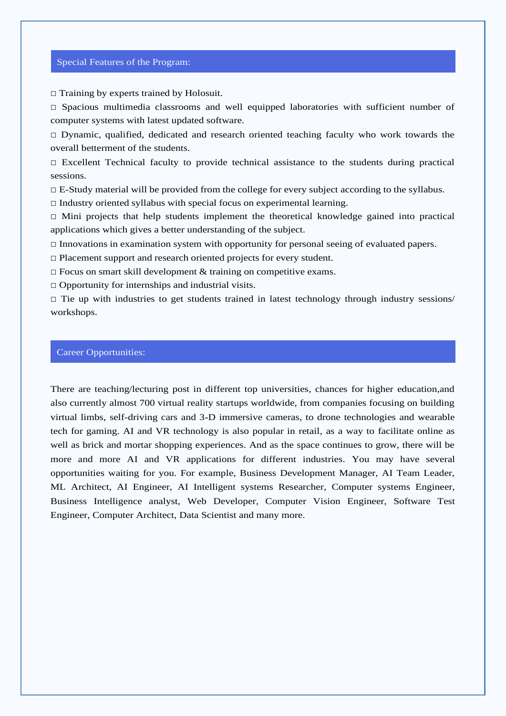#### Special Features of the Program:

□ Training by experts trained by Holosuit.

 $\square$  Spacious multimedia classrooms and well equipped laboratories with sufficient number of computer systems with latest updated software.

□ Dynamic, qualified, dedicated and research oriented teaching faculty who work towards the overall betterment of the students.

 $\Box$  Excellent Technical faculty to provide technical assistance to the students during practical sessions.

 $\Box$  E-Study material will be provided from the college for every subject according to the syllabus.

 $\Box$  Industry oriented syllabus with special focus on experimental learning.

 $\Box$  Mini projects that help students implement the theoretical knowledge gained into practical applications which gives a better understanding of the subject.

 $\Box$  Innovations in examination system with opportunity for personal seeing of evaluated papers.

□ Placement support and research oriented projects for every student.

 $\Box$  Focus on smart skill development & training on competitive exams.

 $\Box$  Opportunity for internships and industrial visits.

 $\Box$  Tie up with industries to get students trained in latest technology through industry sessions/ workshops.

#### Career Opportunities:

There are teaching/lecturing post in different top universities, chances for higher education,and also currently almost 700 virtual reality startups worldwide, from companies focusing on building virtual limbs, self-driving cars and 3-D immersive cameras, to drone technologies and wearable tech for gaming. AI and VR technology is also popular in retail, as a way to facilitate online as well as brick and mortar shopping experiences. And as the space continues to grow, there will be more and more AI and VR applications for different industries. You may have several opportunities waiting for you. For example, Business Development Manager, AI Team Leader, ML Architect, AI Engineer, AI Intelligent systems Researcher, Computer systems Engineer, Business Intelligence analyst, Web Developer, Computer Vision Engineer, Software Test Engineer, Computer Architect, Data Scientist and many more.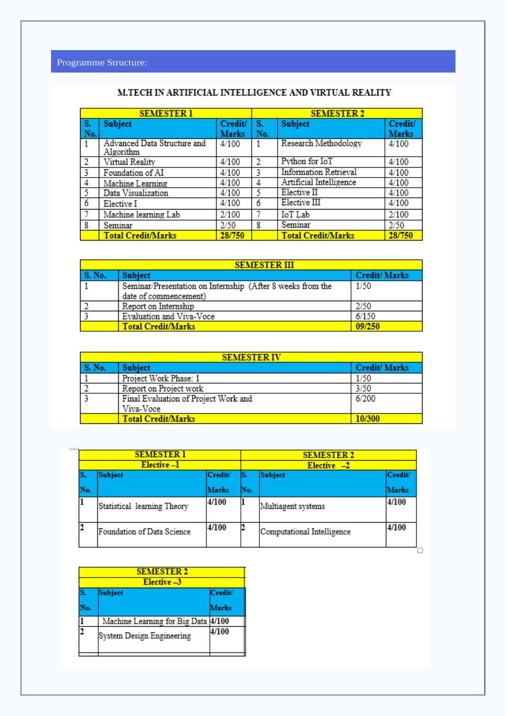| <b>SEMESTER 1</b> |                                          |              | <b>SEMESTER 2</b> |                              |              |
|-------------------|------------------------------------------|--------------|-------------------|------------------------------|--------------|
| S.                | <b>Subject</b>                           | Credit/      | S.                | <b>Subject</b>               | Credit/      |
| No.               |                                          | <b>Marks</b> | No.               |                              | <b>Marks</b> |
| $\overline{1}$    | Advanced Data Structure and<br>Algorithm | 4/100        | 1                 | Research Methodology         | 4/100        |
| 2                 | Virtual Reality                          | 4/100        | 2                 | Python for IoT               | 4/100        |
| 3                 | Foundation of AI                         | 4/100        | 3                 | <b>Information Retrieval</b> | 4/100        |
| 4                 | Machine Learning                         | 4/100        | 4                 | Artificial Intelligence      | 4/100        |
| 5                 | Data Visualization                       | 4/100        | ٢                 | Elective II                  | 4/100        |
| 6                 | Elective I                               | 4/100        | 6                 | Elective III                 | 4/100        |
| 7                 | Machine learning Lab                     | 2/100        |                   | IoT Lab                      | 2/100        |
| 8                 | Seminar                                  | 2/50         | 8                 | Seminar                      | 2/50         |
|                   | <b>Total Credit/Marks</b>                | 28/750       |                   | <b>Total Credit/Marks</b>    | 28/750       |

### M.TECH IN ARTIFICIAL INTELLIGENCE AND VIRTUAL REALITY

| <b>SEMESTER III</b> |                                                            |                     |  |  |
|---------------------|------------------------------------------------------------|---------------------|--|--|
| <b>S. No.</b>       | <b>Subject</b>                                             | <b>Credit/Marks</b> |  |  |
|                     | Seminar/Presentation on Internship (After 8 weeks from the | 1/50                |  |  |
|                     | date of commencement)                                      |                     |  |  |
|                     | Report on Internship                                       | 2/50                |  |  |
|                     | Evaluation and Viva-Voce                                   | 6/150               |  |  |
|                     | <b>Total Credit/Marks</b>                                  | 09/250              |  |  |

| <b>SEMESTER IV</b> |                                      |                     |  |  |
|--------------------|--------------------------------------|---------------------|--|--|
| S. No.             | <b>Subject</b>                       | <b>Credit/Marks</b> |  |  |
|                    | Project Work Phase: 1                | 1/50                |  |  |
|                    | Report on Project work               | 3/50                |  |  |
|                    | Final Evaluation of Project Work and | 6/200               |  |  |
|                    | Viva-Voce                            |                     |  |  |
|                    | <b>Total Credit/Marks</b>            | 10/300              |  |  |

| <b>SEMESTER 1</b><br>Elective-1 |                             |         |     | <b>SEMESTER 2</b><br>$Elective -2$ |         |  |
|---------------------------------|-----------------------------|---------|-----|------------------------------------|---------|--|
|                                 | <b>Subject</b>              | Credit/ | S.  | <b>Subject</b>                     | Credit/ |  |
| No.                             |                             | Marks   | No. |                                    | Marks   |  |
|                                 | Statistical learning Theory | 4/100   |     | Multiagent systems                 | 4/100   |  |
|                                 | Foundation of Data Science  | 4/100   | 12  | Computational Intelligence         | 4/100   |  |

| <b>SEMESTER 2</b><br>Elective <sub>-3</sub> |                                     |         |  |  |
|---------------------------------------------|-------------------------------------|---------|--|--|
|                                             | Subject                             | Credit/ |  |  |
| o.                                          |                                     | Marks   |  |  |
|                                             | Machine Learning for Big Data 4/100 |         |  |  |
|                                             | System Design Engineering           | 4/100   |  |  |